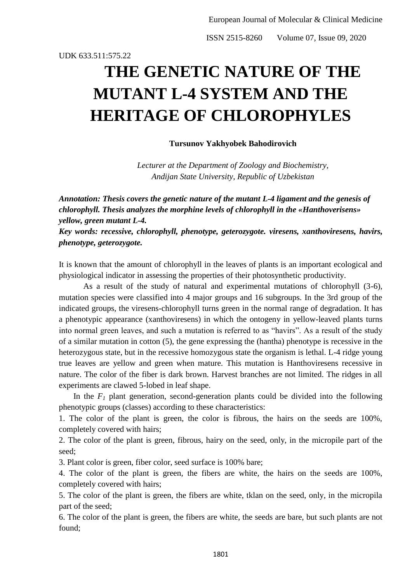UDK 633.511:575.22

# **THE GENETIC NATURE OF THE MUTANT L-4 SYSTEM AND THE HERITAGE OF CHLOROPHYLES**

## **Tursunov Yakhyobek Bahodirovich**

*Lecturer at the Department of Zoology and Biochemistry, Andijan State University, Republic of Uzbekistan*

*Annotation: Thesis covers the genetic nature of the mutant L-4 ligament and the genesis of chlorophyll. Thesis analyzes the morphine levels of chlorophyll in the «Hanthoverisens» yellow, green mutant L-4.*

*Key words: recessive, chlorophyll, phenotype, geterozygote. viresens, xanthoviresens, havirs, phenotype, geterozygote.*

It is known that the amount of chlorophyll in the leaves of plants is an important ecological and physiological indicator in assessing the properties of their photosynthetic productivity.

As a result of the study of natural and experimental mutations of chlorophyll (3-6), mutation species were classified into 4 major groups and 16 subgroups. In the 3rd group of the indicated groups, the viresens-chlorophyll turns green in the normal range of degradation. It has a phenotypic appearance (xanthoviresens) in which the ontogeny in yellow-leaved plants turns into normal green leaves, and such a mutation is referred to as "havirs". As a result of the study of a similar mutation in cotton (5), the gene expressing the (hantha) phenotype is recessive in the heterozygous state, but in the recessive homozygous state the organism is lethal. L-4 ridge young true leaves are yellow and green when mature. This mutation is Hanthoviresens recessive in nature. The color of the fiber is dark brown. Harvest branches are not limited. The ridges in all experiments are clawed 5-lobed in leaf shape.

In the  $F_I$  plant generation, second-generation plants could be divided into the following phenotypic groups (classes) according to these characteristics:

1. The color of the plant is green, the color is fibrous, the hairs on the seeds are 100%, completely covered with hairs;

2. The color of the plant is green, fibrous, hairy on the seed, only, in the micropile part of the seed;

3. Plant color is green, fiber color, seed surface is 100% bare;

4. The color of the plant is green, the fibers are white, the hairs on the seeds are 100%, completely covered with hairs;

5. The color of the plant is green, the fibers are white, tklan on the seed, only, in the micropila part of the seed;

6. The color of the plant is green, the fibers are white, the seeds are bare, but such plants are not found;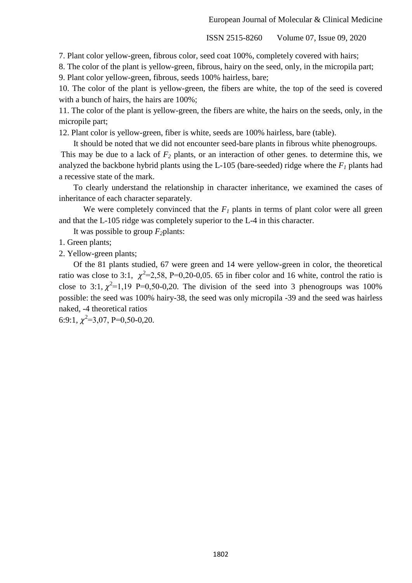7. Plant color yellow-green, fibrous color, seed coat 100%, completely covered with hairs;

8. The color of the plant is yellow-green, fibrous, hairy on the seed, only, in the micropila part;

9. Plant color yellow-green, fibrous, seeds 100% hairless, bare;

10. The color of the plant is yellow-green, the fibers are white, the top of the seed is covered with a bunch of hairs, the hairs are 100%;

11. The color of the plant is yellow-green, the fibers are white, the hairs on the seeds, only, in the micropile part;

12. Plant color is yellow-green, fiber is white, seeds are 100% hairless, bare (table).

 It should be noted that we did not encounter seed-bare plants in fibrous white phenogroups. This may be due to a lack of *F<sup>2</sup>* plants, or an interaction of other genes. to determine this, we analyzed the backbone hybrid plants using the L-105 (bare-seeded) ridge where the *F<sup>1</sup>* plants had a recessive state of the mark.

 To clearly understand the relationship in character inheritance, we examined the cases of inheritance of each character separately.

We were completely convinced that the  $F_I$  plants in terms of plant color were all green and that the L-105 ridge was completely superior to the L-4 in this character.

It was possible to group *F2*plants:

1. Green plants;

2. Yellow-green plants;

 Of the 81 plants studied, 67 were green and 14 were yellow-green in color, the theoretical ratio was close to 3:1,  $\chi^2$ =2,58, P=0,20-0,05. 65 in fiber color and 16 white, control the ratio is close to 3:1,  $\chi^2$ =1,19 P=0,50-0,20. The division of the seed into 3 phenogroups was 100% possible: the seed was 100% hairy-38, the seed was only micropila -39 and the seed was hairless naked, -4 theoretical ratios

6:9:1,  $\chi^2$ =3,07, P=0,50-0,20.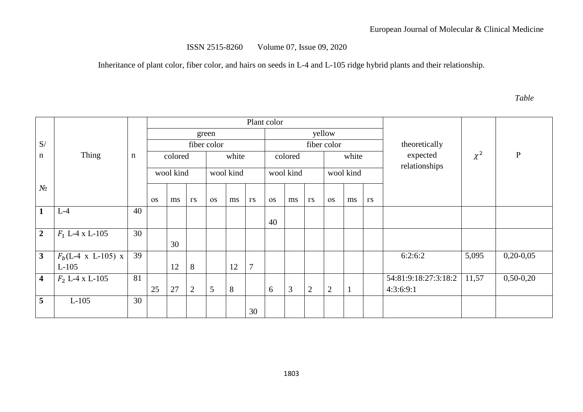Inheritance of plant color, fiber color, and hairs on seeds in L-4 and L-105 ridge hybrid plants and their relationship.

*Table*

|                         |                                |             | Plant color |    |            |             |    |                |             |    |            |                |              |               |                      |          |              |
|-------------------------|--------------------------------|-------------|-------------|----|------------|-------------|----|----------------|-------------|----|------------|----------------|--------------|---------------|----------------------|----------|--------------|
|                         |                                |             | green       |    |            |             |    |                |             |    |            | yellow         |              |               | theoretically        |          |              |
| S/                      |                                |             | colored     |    |            | fiber color |    |                | fiber color |    |            |                |              |               |                      |          |              |
| $\mathbf n$             | Thing                          | $\mathbf n$ |             |    |            | white       |    |                | colored     |    |            | white          |              |               | expected             | $\chi^2$ | $\mathbf{P}$ |
|                         |                                |             | wool kind   |    | wool kind  |             |    | wool kind      |             |    | wool kind  |                |              | relationships |                      |          |              |
| $N_2$                   |                                |             |             |    |            |             |    |                |             |    |            |                |              |               |                      |          |              |
|                         |                                |             | <b>OS</b>   | ms | $\Gamma S$ | <b>OS</b>   | ms | $\Gamma S$     | <b>OS</b>   | ms | $\Gamma S$ | <b>OS</b>      | ms           | $\Gamma S$    |                      |          |              |
| $\mathbf{1}$            | $L-4$                          | 40          |             |    |            |             |    |                |             |    |            |                |              |               |                      |          |              |
|                         |                                |             |             |    |            |             |    |                | 40          |    |            |                |              |               |                      |          |              |
| $\overline{2}$          | $F_1$ L-4 x L-105              | 30          |             |    |            |             |    |                |             |    |            |                |              |               |                      |          |              |
|                         |                                |             |             | 30 |            |             |    |                |             |    |            |                |              |               |                      |          |              |
| $\mathbf{3}$            | $F_b(L-4 \times L-105) \times$ | 39          |             |    |            |             |    |                |             |    |            |                |              |               | 6:2:6:2              | 5,095    | $0,20-0,05$  |
|                         | $L-105$                        |             |             | 12 | 8          |             | 12 | $\overline{7}$ |             |    |            |                |              |               |                      |          |              |
| $\overline{\mathbf{4}}$ | $F_2$ L-4 x L-105              | 81          |             |    |            |             |    |                |             |    |            |                |              |               | 54:81:9:18:27:3:18:2 | 11,57    | $0,50-0,20$  |
|                         |                                |             | 25          | 27 | 2          | 5           | 8  |                | 6           | 3  | 2          | $\overline{2}$ | $\mathbf{1}$ |               | 4:3:6:9:1            |          |              |
| 5                       | $L-105$                        | 30          |             |    |            |             |    |                |             |    |            |                |              |               |                      |          |              |
|                         |                                |             |             |    |            |             |    | 30             |             |    |            |                |              |               |                      |          |              |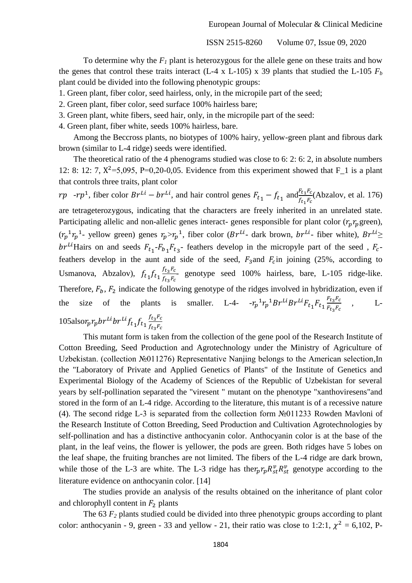To determine why the  $F_I$  plant is heterozygous for the allele gene on these traits and how the genes that control these traits interact (L-4 x L-105) x 39 plants that studied the L-105  $F_b$ plant could be divided into the following phenotypic groups:

1. Green plant, fiber color, seed hairless, only, in the micropile part of the seed;

2. Green plant, fiber color, seed surface 100% hairless bare;

3. Green plant, white fibers, seed hair, only, in the micropile part of the seed:

4. Green plant, fiber white, seeds 100% hairless, bare.

 Among the Beccross plants, no biotypes of 100% hairy, yellow-green plant and fibrous dark brown (similar to L-4 ridge) seeds were identified.

 The theoretical ratio of the 4 phenograms studied was close to 6: 2: 6: 2, in absolute numbers 12: 8: 12: 7,  $X^2 = 5,095$ , P=0,20-0,05. Evidence from this experiment showed that F<sub>1</sub> is a plant that controls three traits, plant color

 $rp$  -rp<sup>1</sup>, fiber color  $Br^{Li} - br^{Li}$ , and hair control genes  $F_{t_1} - f_{t_1}$  and  $F_{t_1}F_{t_1}$  $\frac{F_t_1 r_c}{f_{t_1} F_c}$ (Abzalov, et al. 176) are tetrageterozygous, indicating that the characters are freely inherited in an unrelated state. Participating allelic and non-allelic genes interact- genes responsible for plant color  $(r_p r_p$ green),  $(r_p^{-1}r_p^{-1})$ - yellow green) genes  $r_p > r_p^{-1}$ , fiber color (Br<sup>Li</sup>- dark brown, br<sup>Li</sup>- fiber white), Br<sup>Li</sup> br<sup>Li</sup>Hairs on and seeds  $F_{t_1}$ - $F_{b_1}$ , $F_{t_2}$ - feathers develop in the micropyle part of the seed,  $F_c$ feathers develop in the aunt and side of the seed,  $F_3$  and  $F_c$  in joining (25%, according to Usmanova, Abzalov),  $f_{t_1} f_{t_1} \frac{f_{t_3} F_{t_3}}{f_{t_3} F_{t_4}}$  $\frac{f_{ts}^{12}c}{f_{ts}F_c}$  genotype seed 100% hairless, bare, L-105 ridge-like. Therefore,  $F_b$ ,  $F_2$  indicate the following genotype of the ridges involved in hybridization, even if the size of the plants is smaller. L-4-  $-r_p^{-1}r_p^{-1}Br^{Li}Br^{Li}F_{t_1}F_{t_2}F_{t_3}F_{t_4}F_{t_5}F_{t_6}F_{t_7}F_{t_8}F_{t_9}F_{t_1}F_{t_2}F_{t_3}F_{t_4}F_{t_5}F_{t_6}F_{t_7}F_{t_8}F_{t_9}F_{t_0}F_{t_0}F_{t_0}F_{t_0}F_{t_0}F_{t_0}F_{t_0}F_{t_0}F_{t_0}$  $F_t$ <sub>2</sub> $F$  $L-$ 105alsor<sub>n</sub> $r_p$ br<sup>Li</sup>br<sup>Li</sup>f<sub>t1</sub>f<sub>t1</sub> $\frac{f_{t_3}F_{t_4}}{f_{t_1}}$  $f_t$ <sub>2</sub> $F$ 

This mutant form is taken from the collection of the gene pool of the Research Institute of Cotton Breeding, Seed Production and Agrotechnology under the Ministry of Agriculture of Uzbekistan. (collection №011276) Representative Nanjing belongs to the American selection,In the "Laboratory of Private and Applied Genetics of Plants" of the Institute of Genetics and Experimental Biology of the Academy of Sciences of the Republic of Uzbekistan for several years by self-pollination separated the "viresent " mutant on the phenotype "xanthoviresens"and stored in the form of an L-4 ridge. According to the literature, this mutant is of a recessive nature (4). The second ridge L-3 is separated from the collection form №011233 Rowden Mavloni of the Research Institute of Cotton Breeding, Seed Production and Cultivation Agrotechnologies by self-pollination and has a distinctive anthocyanin color. Anthocyanin color is at the base of the plant, in the leaf veins, the flower is yellower, the pods are green. Both ridges have 5 lobes on the leaf shape, the fruiting branches are not limited. The fibers of the L-4 ridge are dark brown, while those of the L-3 are white. The L-3 ridge has the  $r_p r_p R_{st}^v R_{st}^v$  genotype according to the literature evidence on anthocyanin color. [14]

The studies provide an analysis of the results obtained on the inheritance of plant color and chlorophyll content in  $F_2$  plants

The 63  $F_2$  plants studied could be divided into three phenotypic groups according to plant color: anthocyanin - 9, green - 33 and yellow - 21, their ratio was close to 1:2:1,  $\chi^2 = 6,102$ , P-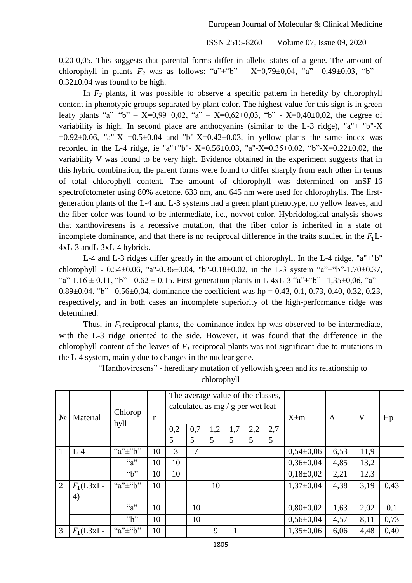0,20-0,05. This suggests that parental forms differ in allelic states of a gene. The amount of chlorophyll in plants  $F_2$  was as follows: "a"+"b" –  $X=0,79\pm0,04$ , "a"-  $0,49\pm0,03$ , "b" –  $0,32\pm0,04$  was found to be high.

In *F<sup>2</sup>* plants, it was possible to observe a specific pattern in heredity by chlorophyll content in phenotypic groups separated by plant color. The highest value for this sign is in green leafy plants "a"+"b" –  $X=0.99\pm0.02$ , "a" –  $X=0.62\pm0.03$ , "b" -  $X=0.40\pm0.02$ , the degree of variability is high. In second place are anthocyanins (similar to the L-3 ridge), "a"+ "b"-X  $=0.92\pm0.06$ , "a"-X  $=0.5\pm0.04$  and "b"-X=0.42 $\pm$ 0.03, in yellow plants the same index was recorded in the L-4 ridge, ie "a"+"b"-  $X=0.56\pm0.03$ , "a"- $X=0.35\pm0.02$ , "b"- $X=0.22\pm0.02$ , the variability V was found to be very high. Evidence obtained in the experiment suggests that in this hybrid combination, the parent forms were found to differ sharply from each other in terms of total chlorophyll content. The amount of chlorophyll was determined on anSF-16 spectrofotometer using 80% acetone. 633 nm, and 645 nm were used for chlorophylls. The firstgeneration plants of the L-4 and L-3 systems had a green plant phenotype, no yellow leaves, and the fiber color was found to be intermediate, i.e., novvot color. Hybridological analysis shows that xanthoviresens is a recessive mutation, that the fiber color is inherited in a state of incomplete dominance, and that there is no reciprocal difference in the traits studied in the  $F_1$ . 4хL-3 andL-3хL-4 hybrids.

L-4 and L-3 ridges differ greatly in the amount of chlorophyll. In the L-4 ridge, "a"+"b" chlorophyll - 0.54 $\pm$ 0.06, "a"-0.36 $\pm$ 0.04, "b"-0.18 $\pm$ 0.02, in the L-3 system "a"+"b"-1.70 $\pm$ 0.37, "a"-1.16  $\pm$  0.11, "b" - 0.62  $\pm$  0.15. First-generation plants in L-4xL-3 "a"+"b" -1,35 $\pm$ 0,06, "a" – 0,89 $\pm$ 0,04, "b" –0,56 $\pm$ 0,04, dominance the coefficient was hp = 0.43, 0.1, 0.73, 0.40, 0.32, 0.23, respectively, and in both cases an incomplete superiority of the high-performance ridge was determined.

Thus, in  $F_1$  reciprocal plants, the dominance index hp was observed to be intermediate, with the L-3 ridge oriented to the side. However, it was found that the difference in the chlorophyll content of the leaves of  $F_I$  reciprocal plants was not significant due to mutations in the L-4 system, mainly due to changes in the nuclear gene.

| $N_2$          | Material   | Chlorop<br>hyll           | n  |          | The average value of the classes,<br>calculated as $mg / g$ per wet leaf |          |          |          | $X \pm m$ | Δ               | V    | Hp   |      |
|----------------|------------|---------------------------|----|----------|--------------------------------------------------------------------------|----------|----------|----------|-----------|-----------------|------|------|------|
|                |            |                           |    | 0,2<br>5 | 0,7<br>5                                                                 | 1,2<br>5 | 1,7<br>5 | 2,2<br>5 | 2,7<br>5  |                 |      |      |      |
|                | $L-4$      | "a" $\pm$ "b"             | 10 | 3        | 7                                                                        |          |          |          |           | $0,54\pm0,06$   | 6,53 | 11,9 |      |
|                |            | $a^{\prime\prime}$        | 10 | 10       |                                                                          |          |          |          |           | $0,36\pm0.04$   | 4,85 | 13,2 |      |
|                |            | $\mathbf{a}$ <sup>3</sup> | 10 | 10       |                                                                          |          |          |          |           | $0,18{\pm}0,02$ | 2,21 | 12,3 |      |
| $\overline{2}$ | $F_1(L3xL$ | "a" $\pm$ "b"             | 10 |          |                                                                          | 10       |          |          |           | $1,37\pm0,04$   | 4,38 | 3,19 | 0,43 |
|                | 4)         |                           |    |          |                                                                          |          |          |          |           |                 |      |      |      |
|                |            | $a^{\prime\prime}$        | 10 |          | 10                                                                       |          |          |          |           | $0,80\pm0,02$   | 1,63 | 2,02 | 0,1  |
|                |            | $\mathbf{a}$ <sup>3</sup> | 10 |          | 10                                                                       |          |          |          |           | $0,56 \pm 0.04$ | 4,57 | 8,11 | 0,73 |
| 3              | $F_1(L3xL$ | "a" $\pm$ "b"             | 10 |          |                                                                          | 9        |          |          |           | $1,35\pm0,06$   | 6,06 | 4,48 | 0,40 |

"Hanthoviresens" - hereditary mutation of yellowish green and its relationship to chlorophyll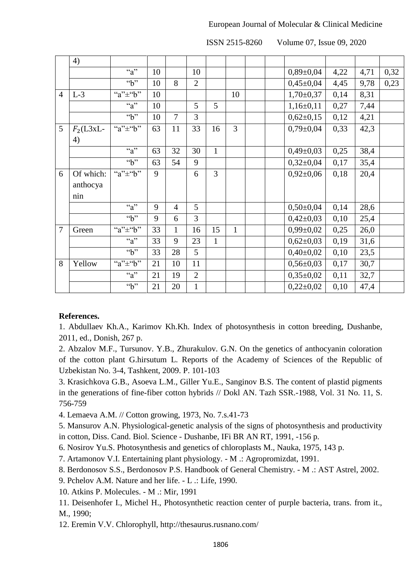#### European Journal of Molecular & Clinical Medicine

ISSN 2515-8260 Volume 07, Issue 09, 2020

|                | 4)         |                                |    |                |                |              |                |  |                 |      |      |      |
|----------------|------------|--------------------------------|----|----------------|----------------|--------------|----------------|--|-----------------|------|------|------|
|                |            | $a^{\prime\prime}$             | 10 |                | 10             |              |                |  | $0,89 \pm 0,04$ | 4,22 | 4,71 | 0,32 |
|                |            | $\overline{b}$                 | 10 | 8              | $\overline{2}$ |              |                |  | $0,45\pm0,04$   | 4,45 | 9,78 | 0,23 |
| $\overline{4}$ | $L-3$      | "a" $\pm$ "b"                  | 10 |                |                |              | 10             |  | $1,70\pm0,37$   | 0,14 | 8,31 |      |
|                |            | $a^{\prime\prime}$             | 10 |                | 5              | 5            |                |  | $1,16\pm0,11$   | 0,27 | 7,44 |      |
|                |            | $\mathfrak{S}^{\prime\prime}$  | 10 | $\overline{7}$ | 3              |              |                |  | $0,62{\pm}0,15$ | 0,12 | 4,21 |      |
| $\overline{5}$ | $F_2(L3xL$ | "a" $\pm$ "b"                  | 63 | 11             | 33             | 16           | $\overline{3}$ |  | $0,79 \pm 0,04$ | 0,33 | 42,3 |      |
|                | 4)         |                                |    |                |                |              |                |  |                 |      |      |      |
|                |            | $a^{\prime\prime}$             | 63 | 32             | 30             | $\mathbf{1}$ |                |  | $0,49\pm0,03$   | 0,25 | 38,4 |      |
|                |            | $\mathfrak{S}^{\prime\prime}$  | 63 | 54             | 9              |              |                |  | $0,32\pm0,04$   | 0,17 | 35,4 |      |
| 6              | Of which:  | $\overline{a}$ " $\pm$ " $b$ " | 9  |                | 6              | 3            |                |  | $0,92\pm0,06$   | 0,18 | 20,4 |      |
|                | anthocya   |                                |    |                |                |              |                |  |                 |      |      |      |
|                | nin        |                                |    |                |                |              |                |  |                 |      |      |      |
|                |            | $a^{\prime\prime}$             | 9  | $\overline{4}$ | 5              |              |                |  | $0,50\pm0,04$   | 0,14 | 28,6 |      |
|                |            | $\overline{b}$                 | 9  | 6              | 3              |              |                |  | $0,42{\pm}0,03$ | 0,10 | 25,4 |      |
| $\overline{7}$ | Green      | "a" $\pm$ "b"                  | 33 | $\mathbf{1}$   | 16             | 15           | $\mathbf{1}$   |  | $0,99 \pm 0,02$ | 0,25 | 26,0 |      |
|                |            | $a^{\prime\prime}$             | 33 | 9              | 23             | $\mathbf{1}$ |                |  | $0,62{\pm}0,03$ | 0,19 | 31,6 |      |
|                |            | $\mathbf{a}$ <sup>3</sup>      | 33 | 28             | 5              |              |                |  | $0,40\pm0,02$   | 0,10 | 23,5 |      |
| 8              | Yellow     | "a" $\pm$ "b"                  | 21 | 10             | 11             |              |                |  | $0,56 \pm 0,03$ | 0,17 | 30,7 |      |
|                |            | $a^{\prime\prime}$             | 21 | 19             | $\overline{2}$ |              |                |  | $0,35\pm0,02$   | 0,11 | 32,7 |      |
|                |            | $\overline{b}$                 | 21 | 20             | $\mathbf{1}$   |              |                |  | $0,22\pm0,02$   | 0,10 | 47,4 |      |

## **References.**

1. Abdullaev Kh.A., Karimov Kh.Kh. Index of photosynthesis in cotton breeding, Dushanbe, 2011, ed., Donish, 267 p.

2. Abzalov M.F., Tursunov. Y.B., Zhurakulov. G.N. On the genetics of anthocyanin coloration of the cotton plant G.hirsutum L. Reports of the Academy of Sciences of the Republic of Uzbekistan No. 3-4, Tashkent, 2009. P. 101-103

3. Krasichkova G.B., Asoeva L.M., Giller Yu.E., Sanginov B.S. The content of plastid pigments in the generations of fine-fiber cotton hybrids // Dokl AN. Tazh SSR.-1988, Vol. 31 No. 11, S. 756-759

4. Lemaeva A.M. // Cotton growing, 1973, No. 7.s.41-73

5. Mansurov A.N. Physiological-genetic analysis of the signs of photosynthesis and productivity

- in cotton, Diss. Cand. Biol. Science Dushanbe, IFi BR AN RT, 1991, -156 p.
- 6. Nosirov Yu.S. Photosynthesis and genetics of chloroplasts M., Nauka, 1975, 143 p.
- 7. Artamonov V.I. Entertaining plant physiology. M .: Agropromizdat, 1991.
- 8. Berdonosov S.S., Berdonosov P.S. Handbook of General Chemistry. M .: AST Astrel, 2002.
- 9. Pchelov A.M. Nature and her life. L .: Life, 1990.
- 10. Atkins P. Molecules. M .: Mir, 1991
- 11. Deisenhofer I., Michel H., Photosynthetic reaction center of purple bacteria, trans. from it., M., 1990;
- 12. Eremin V.V. Chlorophyll, http://thesaurus.rusnano.com/